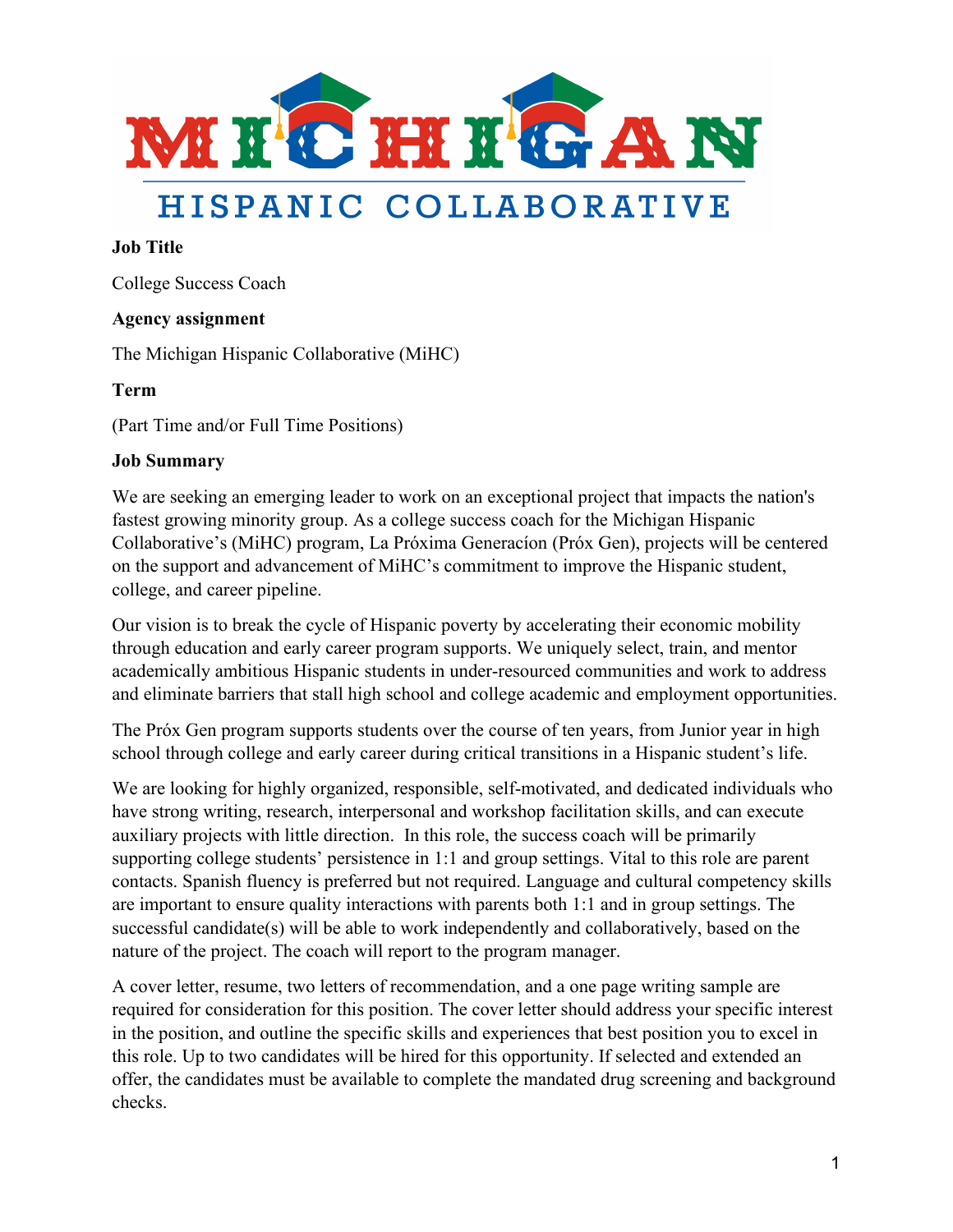

# HISPANIC COLLABORATIVE

#### **Job Title**

College Success Coach

### **Agency assignment**

The Michigan Hispanic Collaborative (MiHC)

#### **Term**

(Part Time and/or Full Time Positions)

#### **Job Summary**

We are seeking an emerging leader to work on an exceptional project that impacts the nation's fastest growing minority group. As a college success coach for the Michigan Hispanic Collaborative's (MiHC) program, La Próxima Generacíon (Próx Gen), projects will be centered on the support and advancement of MiHC's commitment to improve the Hispanic student, college, and career pipeline.

Our vision is to break the cycle of Hispanic poverty by accelerating their economic mobility through education and early career program supports. We uniquely select, train, and mentor academically ambitious Hispanic students in under-resourced communities and work to address and eliminate barriers that stall high school and college academic and employment opportunities.

The Próx Gen program supports students over the course of ten years, from Junior year in high school through college and early career during critical transitions in a Hispanic student's life.

We are looking for highly organized, responsible, self-motivated, and dedicated individuals who have strong writing, research, interpersonal and workshop facilitation skills, and can execute auxiliary projects with little direction. In this role, the success coach will be primarily supporting college students' persistence in 1:1 and group settings. Vital to this role are parent contacts. Spanish fluency is preferred but not required. Language and cultural competency skills are important to ensure quality interactions with parents both 1:1 and in group settings. The successful candidate(s) will be able to work independently and collaboratively, based on the nature of the project. The coach will report to the program manager.

A cover letter, resume, two letters of recommendation, and a one page writing sample are required for consideration for this position. The cover letter should address your specific interest in the position, and outline the specific skills and experiences that best position you to excel in this role. Up to two candidates will be hired for this opportunity. If selected and extended an offer, the candidates must be available to complete the mandated drug screening and background checks.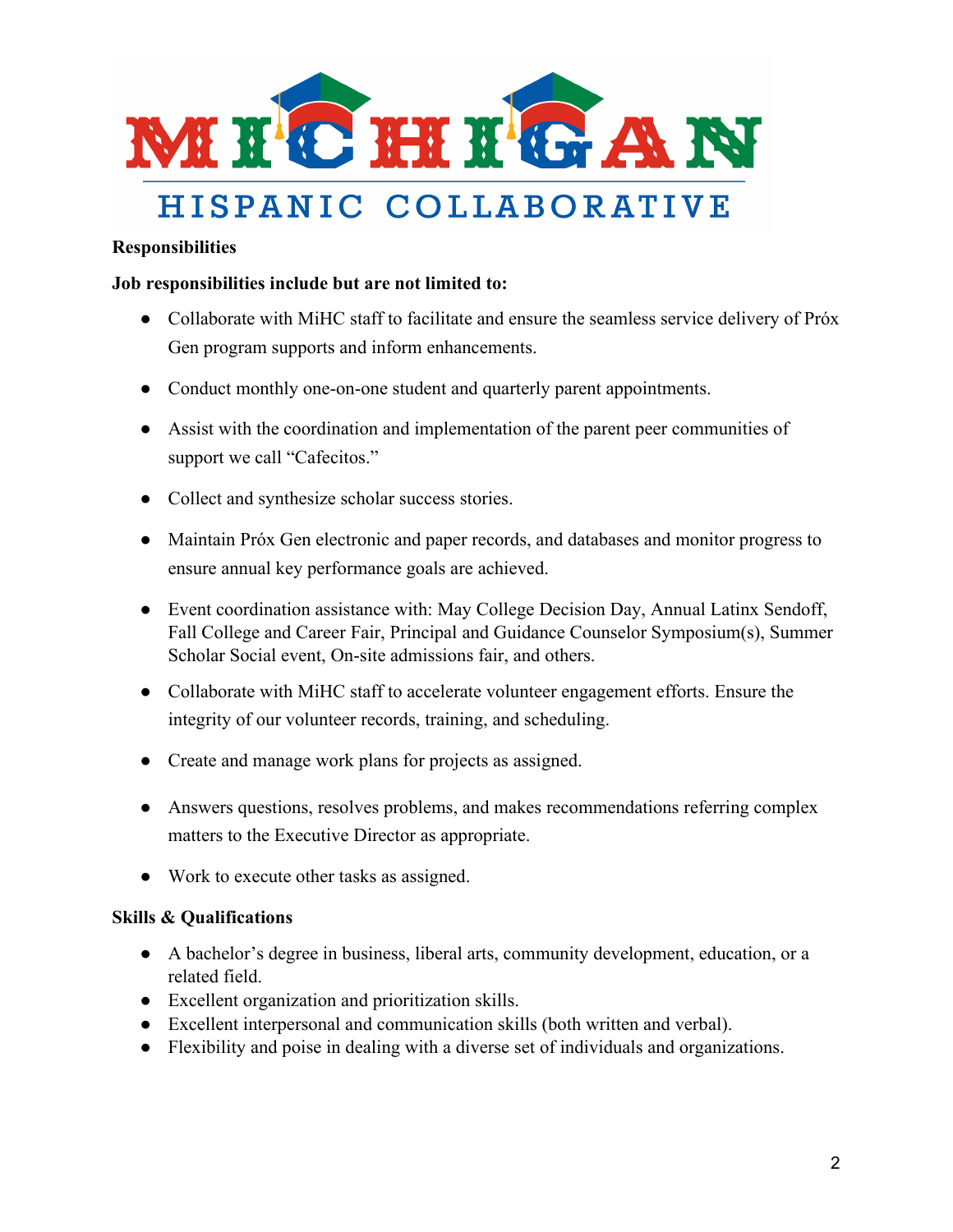

## HISPANIC COLLABORATIVE

#### **Responsibilities**

#### **Job responsibilities include but are not limited to:**

- Collaborate with MiHC staff to facilitate and ensure the seamless service delivery of Próx Gen program supports and inform enhancements.
- Conduct monthly one-on-one student and quarterly parent appointments.
- Assist with the coordination and implementation of the parent peer communities of support we call "Cafecitos."
- Collect and synthesize scholar success stories.
- Maintain Próx Gen electronic and paper records, and databases and monitor progress to ensure annual key performance goals are achieved.
- Event coordination assistance with: May College Decision Day, Annual Latinx Sendoff, Fall College and Career Fair, Principal and Guidance Counselor Symposium(s), Summer Scholar Social event, On-site admissions fair, and others.
- Collaborate with MiHC staff to accelerate volunteer engagement efforts. Ensure the integrity of our volunteer records, training, and scheduling.
- Create and manage work plans for projects as assigned.
- Answers questions, resolves problems, and makes recommendations referring complex matters to the Executive Director as appropriate.
- Work to execute other tasks as assigned.

### **Skills & Qualifications**

- A bachelor's degree in business, liberal arts, community development, education, or a related field.
- Excellent organization and prioritization skills.
- Excellent interpersonal and communication skills (both written and verbal).
- Flexibility and poise in dealing with a diverse set of individuals and organizations.